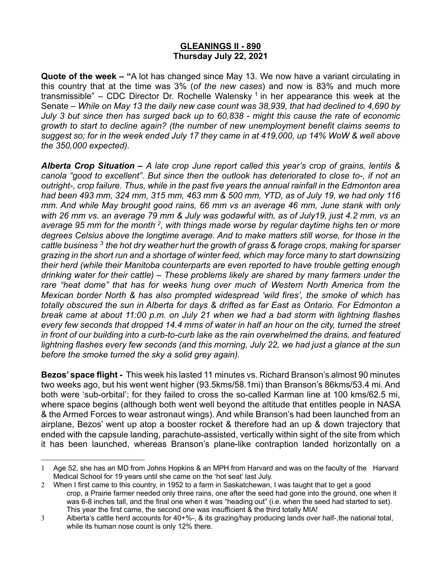## **GLEANINGS II - 890 Thursday July 22, 2021**

**Quote of the week – "**A lot has changed since May 13. We now have a variant circulating in this country that at the time was 3% (*of the new cases*) and now is 83% and much more transmissible" – CDC Director Dr. Rochelle Walensky<sup>1</sup> in her appearance this week at the Senate – *While on May 13 the daily new case count was 38,939, that had declined to 4,690 by July 3 but since then has surged back up to 60,838 - might this cause the rate of economic growth to start to decline again? (the number of new unemployment benefit claims seems to suggest so; for in the week ended July 17 they came in at 419,000, up 14% WoW & well above the 350,000 expected).*

*Alberta Crop Situation – A late crop June report called this year's crop of grains, lentils & canola "good to excellent". But since then the outlook has deteriorated to close to-, if not an outright-, crop failure. Thus, while in the past five years the annual rainfall in the Edmonton area had been 493 mm, 324 mm, 315 mm, 463 mm & 500 mm, YTD, as of July 19, we had only 116 mm. And while May brought good rains, 66 mm vs an average 46 mm, June stank with only with 26 mm vs. an average 79 mm & July was godawful with, as of July19, just 4.2 mm, vs an average 95 mm for the month 2, with things made worse by regular daytime highs ten or more degrees Celsius above the longtime average. And to make matters still worse, for those in the cattle business 3 the hot dry weather hurt the growth of grass & forage crops, making for sparser grazing in the short run and a shortage of winter feed, which may force many to start downsizing their herd (while their Manitoba counterparts are even reported to have trouble getting enough drinking water for their cattle) – These problems likely are shared by many farmers under the rare "heat dome" that has for weeks hung over much of Western North America from the Mexican border North & has also prompted widespread 'wild fires', the smoke of which has totally obscured the sun in Alberta for days & drifted as far East as Ontario. For Edmonton a break came at about 11:00 p.m. on July 21 when we had a bad storm with lightning flashes every few seconds that dropped 14.4 mms of water in half an hour on the city, turned the street in front of our building into a curb-to-curb lake as the rain overwhelmed the drains, and featured lightning flashes every few seconds (and this morning, July 22, we had just a glance at the sun before the smoke turned the sky a solid grey again).* 

**Bezos' space flight -** This week his lasted 11 minutes vs. Richard Branson's almost 90 minutes two weeks ago, but his went went higher (93.5kms/58.1mi) than Branson's 86kms/53.4 mi. And both were 'sub-orbital'; for they failed to cross the so-called Karman line at 100 kms/62.5 mi, where space begins (although both went well beyond the altitude that entitles people in NASA & the Armed Forces to wear astronaut wings). And while Branson's had been launched from an airplane, Bezos' went up atop a booster rocket & therefore had an up & down trajectory that ended with the capsule landing, parachute-assisted, vertically within sight of the site from which it has been launched, whereas Branson's plane-like contraption landed horizontally on a

<sup>1</sup> Age 52, she has an MD from Johns Hopkins & an MPH from Harvard and was on the faculty of the Harvard Medical School for 19 years until she came on the 'hot seat' last July.

<sup>2</sup> When I first came to this country, in 1952 to a farm in Saskatchewan, I was taught that to get a good crop, a Prairie farmer needed only three rains, one after the seed had gone into the ground, one when it was 6-8 inches tall, and the final one when it was "heading out" (i.e. when the seed had started to set). This year the first came, the second one was insufficient & the third totally MIA!

<sup>3</sup> Alberta's cattle herd accounts for 40+%-, & its grazing/hay producing lands over half-,the national total, while its human nose count is only 12% there.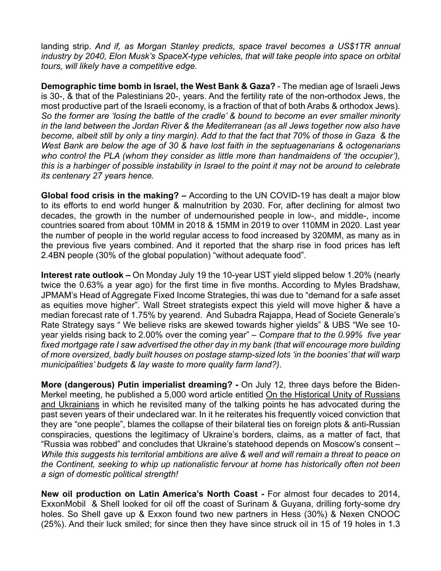landing strip. *And if, as Morgan Stanley predicts, space travel becomes a US\$1TR annual industry by 2040, Elon Musk's SpaceX-type vehicles, that will take people into space on orbital tours, will likely have a competitive edge.*

**Demographic time bomb in Israel, the West Bank & Gaza?** - The median age of Israeli Jews is 30-, & that of the Palestinians 20-, years. And the fertility rate of the non-orthodox Jews, the most productive part of the Israeli economy, is a fraction of that of both Arabs & orthodox Jews)*. So the former are 'losing the battle of the cradle' & bound to become an ever smaller minority in the land between the Jordan River & the Mediterranean (as all Jews together now also have become, albeit still by only a tiny margin). Add to that the fact that 70% of those in Gaza & the West Bank are below the age of 30 & have lost faith in the septuagenarians & octogenarians who control the PLA (whom they consider as little more than handmaidens of 'the occupier'), this is a harbinger of possible instability in Israel to the point it may not be around to celebrate its centenary 27 years hence.* 

**Global food crisis in the making? –** According to the UN COVID-19 has dealt a major blow to its efforts to end world hunger & malnutrition by 2030. For, after declining for almost two decades, the growth in the number of undernourished people in low-, and middle-, income countries soared from about 10MM in 2018 & 15MM in 2019 to over 110MM in 2020. Last year the number of people in the world regular access to food increased by 320MM, as many as in the previous five years combined. And it reported that the sharp rise in food prices has left 2.4BN people (30% of the global population) "without adequate food".

**Interest rate outlook –** On Monday July 19 the 10-year UST yield slipped below 1.20% (nearly twice the 0.63% a year ago) for the first time in five months. According to Myles Bradshaw, JPMAM's Head of Aggregate Fixed Income Strategies, thi was due to "demand for a safe asset as equities move higher". Wall Street strategists expect this yield will move higher & have a median forecast rate of 1.75% by yearend. And Subadra Rajappa, Head of Societe Generale's Rate Strategy says " We believe risks are skewed towards higher yields" & UBS "We see 10 year yields rising back to 2.00% over the coming year" – *Compare that to the 0.99% five year*  fixed mortgage rate I saw advertised the other day in my bank (that will encourage more building *of more oversized, badly built houses on postage stamp-sized lots 'in the boonies' that will warp municipalities' budgets & lay waste to more quality farm land?).* 

**More (dangerous) Putin imperialist dreaming? -** On July 12, three days before the Biden-Merkel meeting, he published a 5,000 word article entitled On the Historical Unity of Russians and Ukrainians in which he revisited many of the talking points he has advocated during the past seven years of their undeclared war. In it he reiterates his frequently voiced conviction that they are "one people", blames the collapse of their bilateral ties on foreign plots & anti-Russian conspiracies, questions the legitimacy of Ukraine's borders, claims, as a matter of fact, that "Russia was robbed" and concludes that Ukraine's statehood depends on Moscow's consent – *While this suggests his territorial ambitions are alive & well and will remain a threat to peace on the Continent, seeking to whip up nationalistic fervour at home has historically often not been a sign of domestic political strength!* 

**New oil production on Latin America's North Coast -** For almost four decades to 2014, ExxonMobil & Shell looked for oil off the coast of Surinam & Guyana, drilling forty-some dry holes. So Shell gave up & Exxon found two new partners in Hess (30%) & Nexen CNOOC (25%). And their luck smiled; for since then they have since struck oil in 15 of 19 holes in 1.3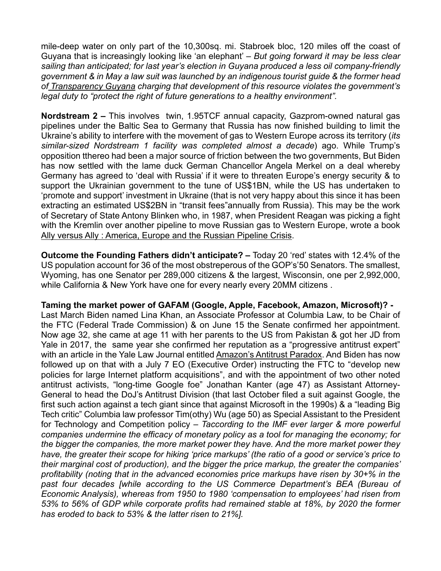mile-deep water on only part of the 10,300sq. mi. Stabroek bloc, 120 miles off the coast of Guyana that is increasingly looking like 'an elephant' – *But going forward it may be less clear sailing than anticipated; for last year's election in Guyana produced a less oil company-friendly government & in May a law suit was launched by an indigenous tourist guide & the former head of Transparency Guyana charging that development of this resource violates the government's legal duty to "protect the right of future generations to a healthy environment".* 

**Nordstream 2 –** This involves twin, 1.95TCF annual capacity, Gazprom-owned natural gas pipelines under the Baltic Sea to Germany that Russia has now finished building to limit the Ukraine's ability to interfere with the movement of gas to Western Europe across its territory (*its similar-sized Nordstream 1 facility was completed almost a decade*) ago. While Trump's opposition tthereo had been a major source of friction between the two governments, But Biden has now settled with the lame duck German Chancellor Angela Merkel on a deal whereby Germany has agreed to 'deal with Russia' if it were to threaten Europe's energy security & to support the Ukrainian government to the tune of US\$1BN, while the US has undertaken to 'promote and support' investment in Ukraine (that is not very happy about this since it has been extracting an estimated US\$2BN in "transit fees"annually from Russia). This may be the work of Secretary of State Antony Blinken who, in 1987, when President Reagan was picking a fight with the Kremlin over another pipeline to move Russian gas to Western Europe, wrote a book Ally versus Ally : America, Europe and the Russian Pipeline Crisis.

**Outcome the Founding Fathers didn't anticipate? –** Today 20 'red' states with 12.4% of the US population account for 36 of the most obstreperous of the GOP's'50 Senators. The smallest, Wyoming, has one Senator per 289,000 citizens & the largest, Wisconsin, one per 2,992,000, while California & New York have one for every nearly every 20MM citizens .

**Taming the market power of GAFAM (Google, Apple, Facebook, Amazon, Microsoft)? -** Last March Biden named Lina Khan, an Associate Professor at Columbia Law, to be Chair of the FTC (Federal Trade Commission) & on June 15 the Senate confirmed her appointment. Now age 32, she came at age 11 with her parents to the US from Pakistan & got her JD from Yale in 2017, the same year she confirmed her reputation as a "progressive antitrust expert" with an article in the Yale Law Journal entitled Amazon's Antitrust Paradox. And Biden has now followed up on that with a July 7 EO (Executive Order) instructing the FTC to "develop new policies for large Internet platform acquisitions", and with the appointment of two other noted antitrust activists, "long-time Google foe" Jonathan Kanter (age 47) as Assistant Attorney-General to head the DoJ's Antitrust Division (that last October filed a suit against Google, the first such action against a tech giant since that against Microsoft in the 1990s) & a "leading Big Tech critic" Columbia law professor Tim(othy) Wu (age 50) as Special Assistant to the President for Technology and Competition policy – *Taccording to the IMF ever larger & more powerful companies undermine the efficacy of monetary policy as a tool for managing the economy; for the bigger the companies, the more market power they have. And the more market power they have, the greater their scope for hiking 'price markups' (the ratio of a good or service's price to their marginal cost of production), and the bigger the price markup, the greater the companies' profitability (noting that in the advanced economies price markups have risen by 30+% in the past four decades [while according to the US Commerce Department's BEA (Bureau of Economic Analysis), whereas from 1950 to 1980 'compensation to employees' had risen from 53% to 56% of GDP while corporate profits had remained stable at 18%, by 2020 the former has eroded to back to 53% & the latter risen to 21%].*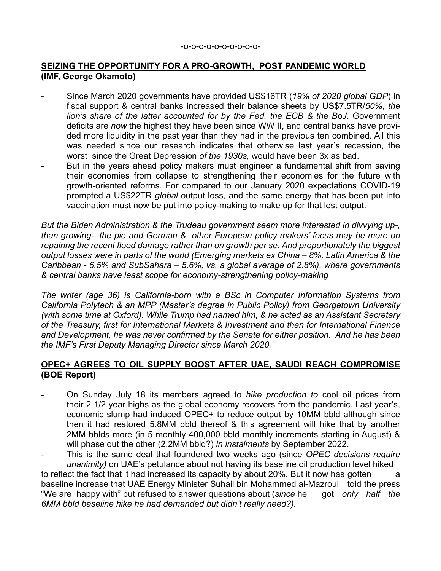### **SEIZING THE OPPORTUNITY FOR A PRO-GROWTH, POST PANDEMIC WORLD (IMF, George Okamoto)**

- Since March 2020 governments have provided US\$16TR (*19% of 2020 global GDP*) in fiscal support & central banks increased their balance sheets by US\$7.5TR/*50%, the lion's share of the latter accounted for by the Fed, the ECB & the BoJ*. Government deficits are *now* the highest they have been since WW II, and central banks have provided more liquidity in the past year than they had in the previous ten combined. All this was needed since our research indicates that otherwise last year's recession, the worst since the Great Depression *of the 1930s,* would have been 3x as bad.
- But in the years ahead policy makers must engineer a fundamental shift from saving their economies from collapse to strengthening their economies for the future with growth-oriented reforms. For compared to our January 2020 expectations COVID-19 prompted a US\$22TR *global* output loss, and the same energy that has been put into vaccination must now be put into policy-making to make up for that lost output.

*But the Biden Administration & the Trudeau government seem more interested in divvying up-, than growing-, the pie and German & other European policy makers' focus may be more on repairing the recent flood damage rather than on growth per se. And proportionately the biggest output losses were in parts of the world (Emerging markets ex China – 8%, Latin America & the Caribbean - 6.5% and SubSahara – 5.6%, vs. a global average of 2.8%), where governments & central banks have least scope for economy-strengthening policy-making* 

*The writer (age 36) is California-born with a BSc in Computer Information Systems from California Polytech & an MPP (Master's degree in Public Policy) from Georgetown University (with some time at Oxford). While Trump had named him, & he acted as an Assistant Secretary of the Treasury, first for International Markets & Investment and then for International Finance and Development, he was never confirmed by the Senate for either position. And he has been the IMF's First Deputy Managing Director since March 2020.*

#### **OPEC+ AGREES TO OIL SUPPLY BOOST AFTER UAE, SAUDI REACH COMPROMISE (BOE Report)**

- On Sunday July 18 its members agreed to *hike production to* cool oil prices from their 2 1/2 year highs as the global economy recovers from the pandemic. Last year's, economic slump had induced OPEC+ to reduce output by 10MM bbld although since then it had restored 5.8MM bbld thereof & this agreement will hike that by another 2MM bblds more (in 5 monthly 400,000 bbld monthly increments starting in August) & will phase out the other (2.2MM bbld?) *in instalments* by September 2022.
- This is the same deal that foundered two weeks ago (since *OPEC decisions require unanimity)* on UAE's petulance about not having its baseline oil production level hiked

to reflect the fact that it had increased its capacity by about 20%. But it now has gotten a baseline increase that UAE Energy Minister Suhail bin Mohammed al-Mazroui told the press "We are happy with" but refused to answer questions about (*since* he got *only half the 6MM bbld baseline hike he had demanded but didn't really need?).*